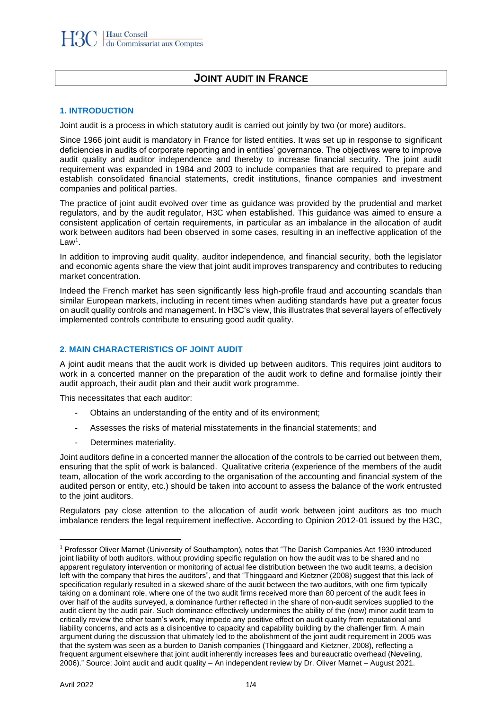# **JOINT AUDIT IN FRANCE**

#### **1. INTRODUCTION**

Joint audit is a process in which statutory audit is carried out jointly by two (or more) auditors.

Since 1966 joint audit is mandatory in France for listed entities. It was set up in response to significant deficiencies in audits of corporate reporting and in entities' governance. The objectives were to improve audit quality and auditor independence and thereby to increase financial security. The joint audit requirement was expanded in 1984 and 2003 to include companies that are required to prepare and establish consolidated financial statements, credit institutions, finance companies and investment companies and political parties.

The practice of joint audit evolved over time as guidance was provided by the prudential and market regulators, and by the audit regulator, H3C when established. This guidance was aimed to ensure a consistent application of certain requirements, in particular as an imbalance in the allocation of audit work between auditors had been observed in some cases, resulting in an ineffective application of the Law<sup>1</sup> .

In addition to improving audit quality, auditor independence, and financial security, both the legislator and economic agents share the view that joint audit improves transparency and contributes to reducing market concentration.

Indeed the French market has seen significantly less high-profile fraud and accounting scandals than similar European markets, including in recent times when auditing standards have put a greater focus on audit quality controls and management. In H3C's view, this illustrates that several layers of effectively implemented controls contribute to ensuring good audit quality.

### **2. MAIN CHARACTERISTICS OF JOINT AUDIT**

A joint audit means that the audit work is divided up between auditors. This requires joint auditors to work in a concerted manner on the preparation of the audit work to define and formalise jointly their audit approach, their audit plan and their audit work programme.

This necessitates that each auditor:

- Obtains an understanding of the entity and of its environment;
- Assesses the risks of material misstatements in the financial statements; and
- Determines materiality.

Joint auditors define in a concerted manner the allocation of the controls to be carried out between them, ensuring that the split of work is balanced. Qualitative criteria (experience of the members of the audit team, allocation of the work according to the organisation of the accounting and financial system of the audited person or entity, etc.) should be taken into account to assess the balance of the work entrusted to the joint auditors.

Regulators pay close attention to the allocation of audit work between joint auditors as too much imbalance renders the legal requirement ineffective. According to Opinion 2012-01 issued by the H3C,

<sup>&</sup>lt;sup>1</sup> Professor Oliver Marnet (University of Southampton), notes that "The Danish Companies Act 1930 introduced joint liability of both auditors, without providing specific regulation on how the audit was to be shared and no apparent regulatory intervention or monitoring of actual fee distribution between the two audit teams, a decision left with the company that hires the auditors", and that "Thinggaard and Kietzner (2008) suggest that this lack of specification regularly resulted in a skewed share of the audit between the two auditors, with one firm typically taking on a dominant role, where one of the two audit firms received more than 80 percent of the audit fees in over half of the audits surveyed, a dominance further reflected in the share of non-audit services supplied to the audit client by the audit pair. Such dominance effectively undermines the ability of the (now) minor audit team to critically review the other team's work, may impede any positive effect on audit quality from reputational and liability concerns, and acts as a disincentive to capacity and capability building by the challenger firm. A main argument during the discussion that ultimately led to the abolishment of the joint audit requirement in 2005 was that the system was seen as a burden to Danish companies (Thinggaard and Kietzner, 2008), reflecting a frequent argument elsewhere that joint audit inherently increases fees and bureaucratic overhead (Neveling, 2006)." Source: Joint audit and audit quality – An independent review by Dr. Oliver Marnet – August 2021.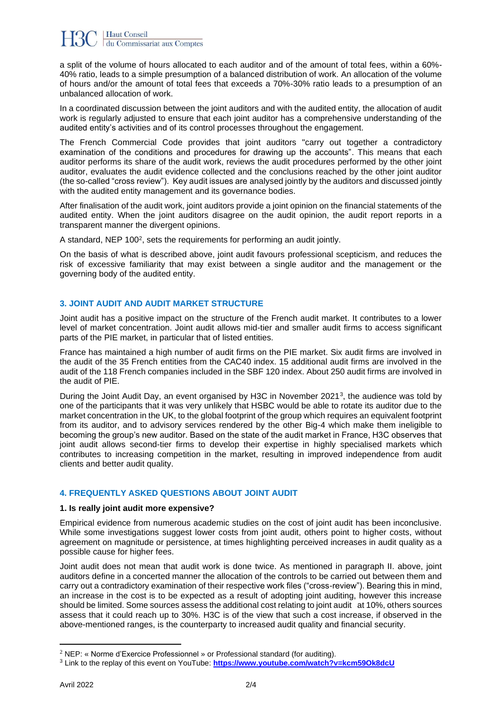a split of the volume of hours allocated to each auditor and of the amount of total fees, within a 60%- 40% ratio, leads to a simple presumption of a balanced distribution of work. An allocation of the volume of hours and/or the amount of total fees that exceeds a 70%-30% ratio leads to a presumption of an unbalanced allocation of work.

In a coordinated discussion between the joint auditors and with the audited entity, the allocation of audit work is regularly adjusted to ensure that each joint auditor has a comprehensive understanding of the audited entity's activities and of its control processes throughout the engagement.

The French Commercial Code provides that joint auditors "carry out together a contradictory examination of the conditions and procedures for drawing up the accounts". This means that each auditor performs its share of the audit work, reviews the audit procedures performed by the other joint auditor, evaluates the audit evidence collected and the conclusions reached by the other joint auditor (the so-called "cross review"). Key audit issues are analysed jointly by the auditors and discussed jointly with the audited entity management and its governance bodies.

After finalisation of the audit work, joint auditors provide a joint opinion on the financial statements of the audited entity. When the joint auditors disagree on the audit opinion, the audit report reports in a transparent manner the divergent opinions.

A standard, NEP 100<sup>2</sup>, sets the requirements for performing an audit jointly.

On the basis of what is described above, joint audit favours professional scepticism, and reduces the risk of excessive familiarity that may exist between a single auditor and the management or the governing body of the audited entity.

## **3. JOINT AUDIT AND AUDIT MARKET STRUCTURE**

Joint audit has a positive impact on the structure of the French audit market. It contributes to a lower level of market concentration. Joint audit allows mid-tier and smaller audit firms to access significant parts of the PIE market, in particular that of listed entities.

France has maintained a high number of audit firms on the PIE market. Six audit firms are involved in the audit of the 35 French entities from the CAC40 index. 15 additional audit firms are involved in the audit of the 118 French companies included in the SBF 120 index. About 250 audit firms are involved in the audit of PIE.

During the Joint Audit Day, an event organised by H3C in November 2021<sup>3</sup>, the audience was told by one of the participants that it was very unlikely that HSBC would be able to rotate its auditor due to the market concentration in the UK, to the global footprint of the group which requires an equivalent footprint from its auditor, and to advisory services rendered by the other Big-4 which make them ineligible to becoming the group's new auditor. Based on the state of the audit market in France, H3C observes that joint audit allows second-tier firms to develop their expertise in highly specialised markets which contributes to increasing competition in the market, resulting in improved independence from audit clients and better audit quality.

## **4. FREQUENTLY ASKED QUESTIONS ABOUT JOINT AUDIT**

### **1. Is really joint audit more expensive?**

Empirical evidence from numerous academic studies on the cost of joint audit has been inconclusive. While some investigations suggest lower costs from joint audit, others point to higher costs, without agreement on magnitude or persistence, at times highlighting perceived increases in audit quality as a possible cause for higher fees.

Joint audit does not mean that audit work is done twice. As mentioned in paragraph II. above, joint auditors define in a concerted manner the allocation of the controls to be carried out between them and carry out a contradictory examination of their respective work files ("cross-review"). Bearing this in mind, an increase in the cost is to be expected as a result of adopting joint auditing, however this increase should be limited. Some sources assess the additional cost relating to joint audit at 10%, others sources assess that it could reach up to 30%. H3C is of the view that such a cost increase, if observed in the above-mentioned ranges, is the counterparty to increased audit quality and financial security.

<sup>&</sup>lt;sup>2</sup> NEP: « Norme d'Exercice Professionnel » or Professional standard (for auditing).

<sup>3</sup> Link to the replay of this event on YouTube: **<https://www.youtube.com/watch?v=kcm59Ok8dcU>**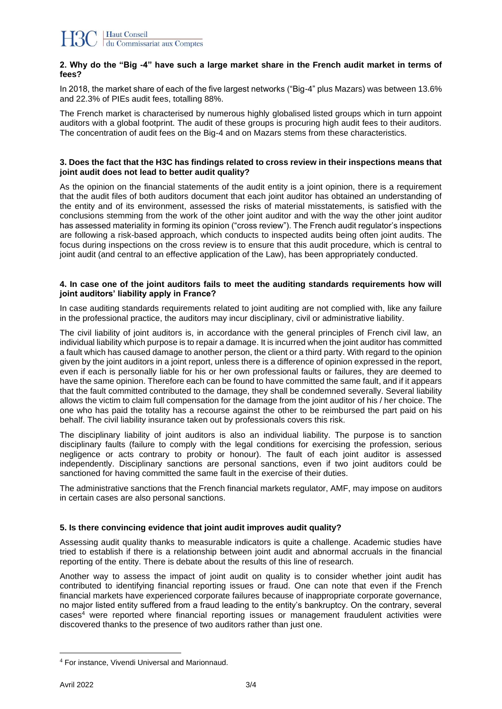#### **2. Why do the "Big -4" have such a large market share in the French audit market in terms of fees?**

In 2018, the market share of each of the five largest networks ("Big-4" plus Mazars) was between 13.6% and 22.3% of PIEs audit fees, totalling 88%.

The French market is characterised by numerous highly globalised listed groups which in turn appoint auditors with a global footprint. The audit of these groups is procuring high audit fees to their auditors. The concentration of audit fees on the Big-4 and on Mazars stems from these characteristics.

#### **3. Does the fact that the H3C has findings related to cross review in their inspections means that joint audit does not lead to better audit quality?**

As the opinion on the financial statements of the audit entity is a joint opinion, there is a requirement that the audit files of both auditors document that each joint auditor has obtained an understanding of the entity and of its environment, assessed the risks of material misstatements, is satisfied with the conclusions stemming from the work of the other joint auditor and with the way the other joint auditor has assessed materiality in forming its opinion ("cross review"). The French audit regulator's inspections are following a risk-based approach, which conducts to inspected audits being often joint audits. The focus during inspections on the cross review is to ensure that this audit procedure, which is central to joint audit (and central to an effective application of the Law), has been appropriately conducted.

#### **4. In case one of the joint auditors fails to meet the auditing standards requirements how will joint auditors' liability apply in France?**

In case auditing standards requirements related to joint auditing are not complied with, like any failure in the professional practice, the auditors may incur disciplinary, civil or administrative liability.

The civil liability of joint auditors is, in accordance with the general principles of French civil law, an individual liability which purpose is to repair a damage. It is incurred when the joint auditor has committed a fault which has caused damage to another person, the client or a third party. With regard to the opinion given by the joint auditors in a joint report, unless there is a difference of opinion expressed in the report, even if each is personally liable for his or her own professional faults or failures, they are deemed to have the same opinion. Therefore each can be found to have committed the same fault, and if it appears that the fault committed contributed to the damage, they shall be condemned severally. Several liability allows the victim to claim full compensation for the damage from the joint auditor of his / her choice. The one who has paid the totality has a recourse against the other to be reimbursed the part paid on his behalf. The civil liability insurance taken out by professionals covers this risk.

The disciplinary liability of joint auditors is also an individual liability. The purpose is to sanction disciplinary faults (failure to comply with the legal conditions for exercising the profession, serious negligence or acts contrary to probity or honour). The fault of each joint auditor is assessed independently. Disciplinary sanctions are personal sanctions, even if two joint auditors could be sanctioned for having committed the same fault in the exercise of their duties.

The administrative sanctions that the French financial markets regulator, AMF, may impose on auditors in certain cases are also personal sanctions.

### **5. Is there convincing evidence that joint audit improves audit quality?**

Assessing audit quality thanks to measurable indicators is quite a challenge. Academic studies have tried to establish if there is a relationship between joint audit and abnormal accruals in the financial reporting of the entity. There is debate about the results of this line of research.

Another way to assess the impact of joint audit on quality is to consider whether joint audit has contributed to identifying financial reporting issues or fraud. One can note that even if the French financial markets have experienced corporate failures because of inappropriate corporate governance, no major listed entity suffered from a fraud leading to the entity's bankruptcy. On the contrary, several  $cases<sup>4</sup>$  were reported where financial reporting issues or management fraudulent activities were discovered thanks to the presence of two auditors rather than just one.

<sup>4</sup> For instance, Vivendi Universal and Marionnaud.